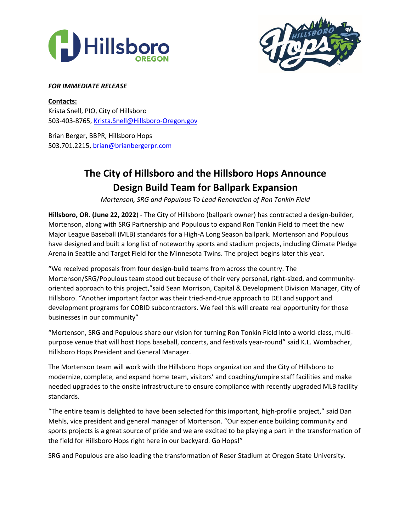



## *FOR IMMEDIATE RELEASE*

**Contacts:** Krista Snell, PIO, City of Hillsboro 503-403-8765[, Krista.Snell@Hillsboro-Oregon.gov](mailto:Krista.Snell@Hillsboro-Oregon.gov)

Brian Berger, BBPR, Hillsboro Hops 503.701.2215[, brian@brianbergerpr.com](mailto:brian@brianbergerpr.com)

# **The City of Hillsboro and the Hillsboro Hops Announce Design Build Team for Ballpark Expansion**

*Mortenson, SRG and Populous To Lead Renovation of Ron Tonkin Field*

**Hillsboro, OR. (June 22, 2022**) - The City of Hillsboro (ballpark owner) has contracted a design-builder, Mortenson, along with SRG Partnership and Populous to expand Ron Tonkin Field to meet the new Major League Baseball (MLB) standards for a High-A Long Season ballpark. Mortenson and Populous have designed and built a long list of noteworthy sports and stadium projects, including Climate Pledge Arena in Seattle and Target Field for the Minnesota Twins. The project begins later this year.

"We received proposals from four design-build teams from across the country. The Mortenson/SRG/Populous team stood out because of their very personal, right-sized, and communityoriented approach to this project,"said Sean Morrison, Capital & Development Division Manager, City of Hillsboro. "Another important factor was their tried-and-true approach to DEI and support and development programs for COBID subcontractors. We feel this will create real opportunity for those businesses in our community"

"Mortenson, SRG and Populous share our vision for turning Ron Tonkin Field into a world-class, multipurpose venue that will host Hops baseball, concerts, and festivals year-round" said K.L. Wombacher, Hillsboro Hops President and General Manager.

The Mortenson team will work with the Hillsboro Hops organization and the City of Hillsboro to modernize, complete, and expand home team, visitors' and coaching/umpire staff facilities and make needed upgrades to the onsite infrastructure to ensure compliance with recently upgraded MLB facility standards.

"The entire team is delighted to have been selected for this important, high-profile project," said Dan Mehls, vice president and general manager of Mortenson. "Our experience building community and sports projects is a great source of pride and we are excited to be playing a part in the transformation of the field for Hillsboro Hops right here in our backyard. Go Hops!"

SRG and Populous are also leading the transformation of Reser Stadium at Oregon State University.